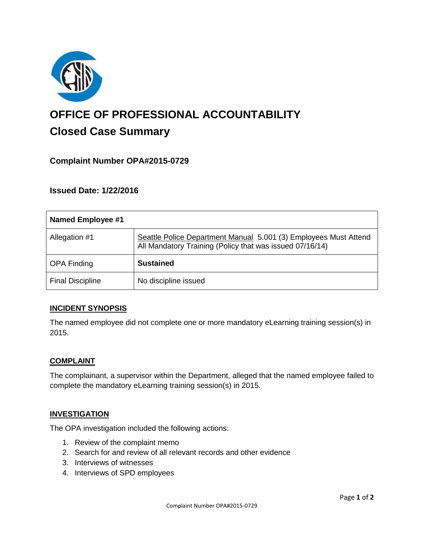

# **OFFICE OF PROFESSIONAL ACCOUNTABILITY Closed Case Summary**

# **Complaint Number OPA#2015-0729**

**Issued Date: 1/22/2016**

| Named Employee #1       |                                                                                                                              |
|-------------------------|------------------------------------------------------------------------------------------------------------------------------|
| Allegation #1           | Seattle Police Department Manual 5.001 (3) Employees Must Attend<br>All Mandatory Training (Policy that was issued 07/16/14) |
| <b>OPA Finding</b>      | <b>Sustained</b>                                                                                                             |
| <b>Final Discipline</b> | No discipline issued                                                                                                         |

#### **INCIDENT SYNOPSIS**

The named employee did not complete one or more mandatory eLearning training session(s) in 2015.

#### **COMPLAINT**

The complainant, a supervisor within the Department, alleged that the named employee failed to complete the mandatory eLearning training session(s) in 2015.

#### **INVESTIGATION**

The OPA investigation included the following actions:

- 1. Review of the complaint memo
- 2. Search for and review of all relevant records and other evidence
- 3. Interviews of witnesses
- 4. Interviews of SPD employees